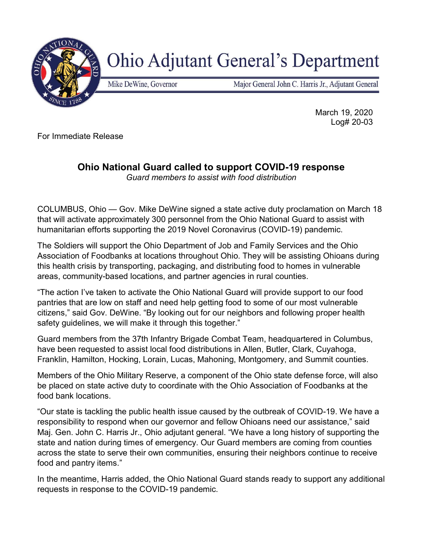

## **Ohio Adjutant General's Department**

Mike DeWine, Governor

Major General John C. Harris Jr., Adjutant General

 March 19, 2020 Log# 20-03

For Immediate Release

## Ohio National Guard called to support COVID-19 response

Guard members to assist with food distribution

COLUMBUS, Ohio — Gov. Mike DeWine signed a state active duty proclamation on March 18 that will activate approximately 300 personnel from the Ohio National Guard to assist with humanitarian efforts supporting the 2019 Novel Coronavirus (COVID-19) pandemic.

The Soldiers will support the Ohio Department of Job and Family Services and the Ohio Association of Foodbanks at locations throughout Ohio. They will be assisting Ohioans during this health crisis by transporting, packaging, and distributing food to homes in vulnerable areas, community-based locations, and partner agencies in rural counties.

"The action I've taken to activate the Ohio National Guard will provide support to our food pantries that are low on staff and need help getting food to some of our most vulnerable citizens," said Gov. DeWine. "By looking out for our neighbors and following proper health safety guidelines, we will make it through this together."

Guard members from the 37th Infantry Brigade Combat Team, headquartered in Columbus, have been requested to assist local food distributions in Allen, Butler, Clark, Cuyahoga, Franklin, Hamilton, Hocking, Lorain, Lucas, Mahoning, Montgomery, and Summit counties.

Members of the Ohio Military Reserve, a component of the Ohio state defense force, will also be placed on state active duty to coordinate with the Ohio Association of Foodbanks at the food bank locations.

"Our state is tackling the public health issue caused by the outbreak of COVID-19. We have a responsibility to respond when our governor and fellow Ohioans need our assistance," said Maj. Gen. John C. Harris Jr., Ohio adjutant general. "We have a long history of supporting the state and nation during times of emergency. Our Guard members are coming from counties across the state to serve their own communities, ensuring their neighbors continue to receive food and pantry items."

In the meantime, Harris added, the Ohio National Guard stands ready to support any additional requests in response to the COVID-19 pandemic.